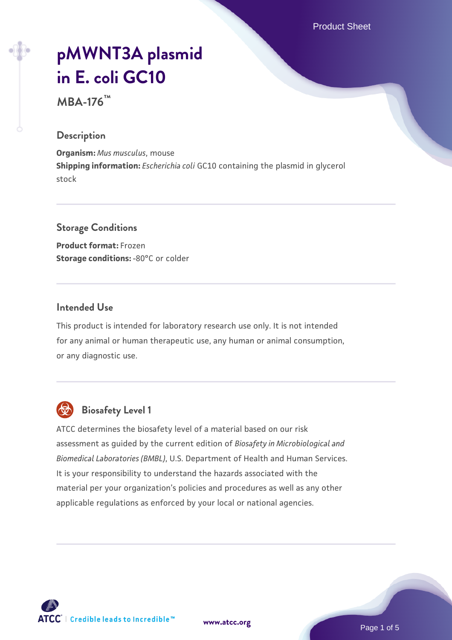Product Sheet

# **[pMWNT3A plasmid](https://www.atcc.org/products/mba-176) [in E. coli GC10](https://www.atcc.org/products/mba-176)**

**MBA-176™**

#### **Description**

**Organism:** *Mus musculus*, mouse **Shipping information:** *Escherichia coli* GC10 containing the plasmid in glycerol stock

#### **Storage Conditions**

**Product format:** Frozen **Storage conditions: -80°C or colder** 

#### **Intended Use**

This product is intended for laboratory research use only. It is not intended for any animal or human therapeutic use, any human or animal consumption, or any diagnostic use.



## **Biosafety Level 1**

ATCC determines the biosafety level of a material based on our risk assessment as guided by the current edition of *Biosafety in Microbiological and Biomedical Laboratories (BMBL)*, U.S. Department of Health and Human Services. It is your responsibility to understand the hazards associated with the material per your organization's policies and procedures as well as any other applicable regulations as enforced by your local or national agencies.

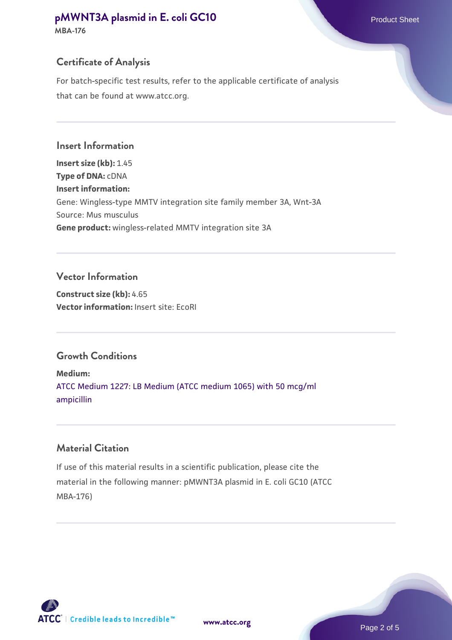### **[pMWNT3A plasmid in E. coli GC10](https://www.atcc.org/products/mba-176)** Product Sheet

**MBA-176**

#### **Certificate of Analysis**

For batch-specific test results, refer to the applicable certificate of analysis that can be found at www.atcc.org.

**Insert Information Insert size (kb):** 1.45 **Type of DNA:** cDNA **Insert information:** Gene: Wingless-type MMTV integration site family member 3A, Wnt-3A Source: Mus musculus **Gene product:** wingless-related MMTV integration site 3A

#### **Vector Information**

**Construct size (kb):** 4.65 **Vector information:** Insert site: EcoRI

#### **Growth Conditions**

**Medium:**  [ATCC Medium 1227: LB Medium \(ATCC medium 1065\) with 50 mcg/ml](https://www.atcc.org/-/media/product-assets/documents/microbial-media-formulations/1/2/2/7/atcc-medium-1227.pdf?rev=581c98603b3e4b29a6d62ee0ba9ca578) [ampicillin](https://www.atcc.org/-/media/product-assets/documents/microbial-media-formulations/1/2/2/7/atcc-medium-1227.pdf?rev=581c98603b3e4b29a6d62ee0ba9ca578)

#### **Material Citation**

If use of this material results in a scientific publication, please cite the material in the following manner: pMWNT3A plasmid in E. coli GC10 (ATCC MBA-176)

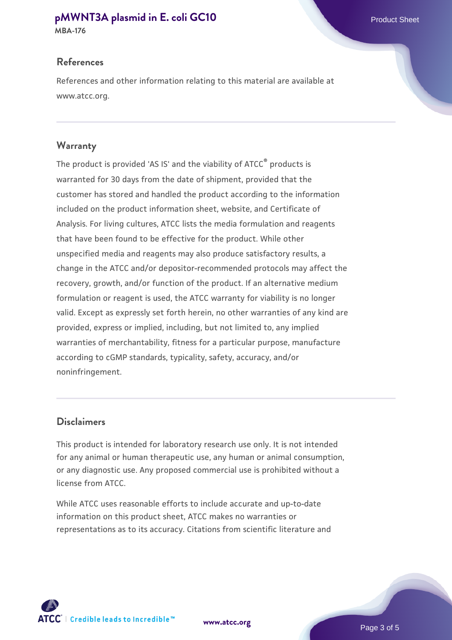#### **[pMWNT3A plasmid in E. coli GC10](https://www.atcc.org/products/mba-176)** Product Sheet

**MBA-176**

#### **References**

References and other information relating to this material are available at www.atcc.org.

#### **Warranty**

The product is provided 'AS IS' and the viability of ATCC® products is warranted for 30 days from the date of shipment, provided that the customer has stored and handled the product according to the information included on the product information sheet, website, and Certificate of Analysis. For living cultures, ATCC lists the media formulation and reagents that have been found to be effective for the product. While other unspecified media and reagents may also produce satisfactory results, a change in the ATCC and/or depositor-recommended protocols may affect the recovery, growth, and/or function of the product. If an alternative medium formulation or reagent is used, the ATCC warranty for viability is no longer valid. Except as expressly set forth herein, no other warranties of any kind are provided, express or implied, including, but not limited to, any implied warranties of merchantability, fitness for a particular purpose, manufacture according to cGMP standards, typicality, safety, accuracy, and/or noninfringement.

#### **Disclaimers**

This product is intended for laboratory research use only. It is not intended for any animal or human therapeutic use, any human or animal consumption, or any diagnostic use. Any proposed commercial use is prohibited without a license from ATCC.

While ATCC uses reasonable efforts to include accurate and up-to-date information on this product sheet, ATCC makes no warranties or representations as to its accuracy. Citations from scientific literature and

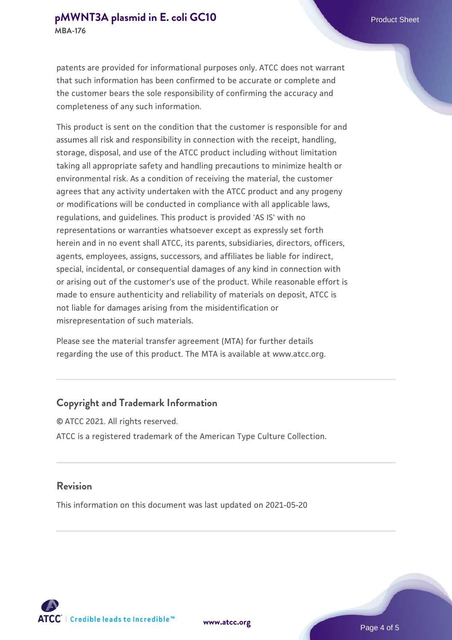patents are provided for informational purposes only. ATCC does not warrant that such information has been confirmed to be accurate or complete and the customer bears the sole responsibility of confirming the accuracy and completeness of any such information.

This product is sent on the condition that the customer is responsible for and assumes all risk and responsibility in connection with the receipt, handling, storage, disposal, and use of the ATCC product including without limitation taking all appropriate safety and handling precautions to minimize health or environmental risk. As a condition of receiving the material, the customer agrees that any activity undertaken with the ATCC product and any progeny or modifications will be conducted in compliance with all applicable laws, regulations, and guidelines. This product is provided 'AS IS' with no representations or warranties whatsoever except as expressly set forth herein and in no event shall ATCC, its parents, subsidiaries, directors, officers, agents, employees, assigns, successors, and affiliates be liable for indirect, special, incidental, or consequential damages of any kind in connection with or arising out of the customer's use of the product. While reasonable effort is made to ensure authenticity and reliability of materials on deposit, ATCC is not liable for damages arising from the misidentification or misrepresentation of such materials.

Please see the material transfer agreement (MTA) for further details regarding the use of this product. The MTA is available at www.atcc.org.

#### **Copyright and Trademark Information**

© ATCC 2021. All rights reserved. ATCC is a registered trademark of the American Type Culture Collection.

#### **Revision**

This information on this document was last updated on 2021-05-20